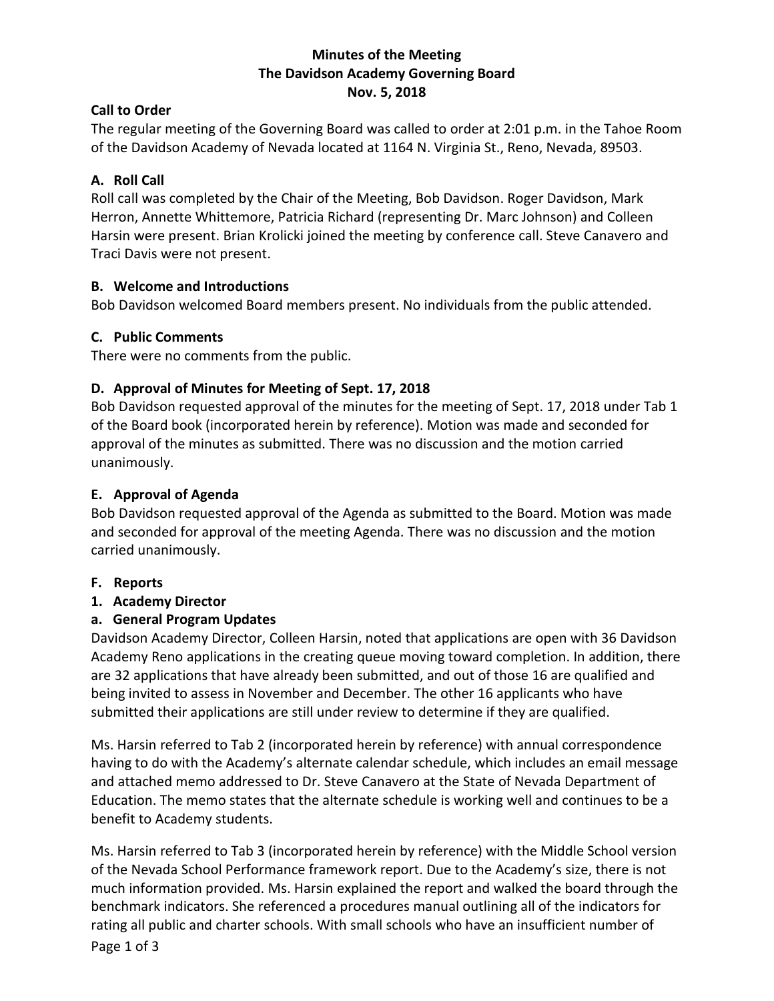### **Minutes of the Meeting The Davidson Academy Governing Board Nov. 5, 2018**

### **Call to Order**

The regular meeting of the Governing Board was called to order at 2:01 p.m. in the Tahoe Room of the Davidson Academy of Nevada located at 1164 N. Virginia St., Reno, Nevada, 89503.

## **A. Roll Call**

Roll call was completed by the Chair of the Meeting, Bob Davidson. Roger Davidson, Mark Herron, Annette Whittemore, Patricia Richard (representing Dr. Marc Johnson) and Colleen Harsin were present. Brian Krolicki joined the meeting by conference call. Steve Canavero and Traci Davis were not present.

### **B. Welcome and Introductions**

Bob Davidson welcomed Board members present. No individuals from the public attended.

### **C. Public Comments**

There were no comments from the public.

## **D. Approval of Minutes for Meeting of Sept. 17, 2018**

Bob Davidson requested approval of the minutes for the meeting of Sept. 17, 2018 under Tab 1 of the Board book (incorporated herein by reference). Motion was made and seconded for approval of the minutes as submitted. There was no discussion and the motion carried unanimously.

### **E. Approval of Agenda**

Bob Davidson requested approval of the Agenda as submitted to the Board. Motion was made and seconded for approval of the meeting Agenda. There was no discussion and the motion carried unanimously.

## **F. Reports**

#### **1. Academy Director**

## **a. General Program Updates**

Davidson Academy Director, Colleen Harsin, noted that applications are open with 36 Davidson Academy Reno applications in the creating queue moving toward completion. In addition, there are 32 applications that have already been submitted, and out of those 16 are qualified and being invited to assess in November and December. The other 16 applicants who have submitted their applications are still under review to determine if they are qualified.

Ms. Harsin referred to Tab 2 (incorporated herein by reference) with annual correspondence having to do with the Academy's alternate calendar schedule, which includes an email message and attached memo addressed to Dr. Steve Canavero at the State of Nevada Department of Education. The memo states that the alternate schedule is working well and continues to be a benefit to Academy students.

Ms. Harsin referred to Tab 3 (incorporated herein by reference) with the Middle School version of the Nevada School Performance framework report. Due to the Academy's size, there is not much information provided. Ms. Harsin explained the report and walked the board through the benchmark indicators. She referenced a procedures manual outlining all of the indicators for rating all public and charter schools. With small schools who have an insufficient number of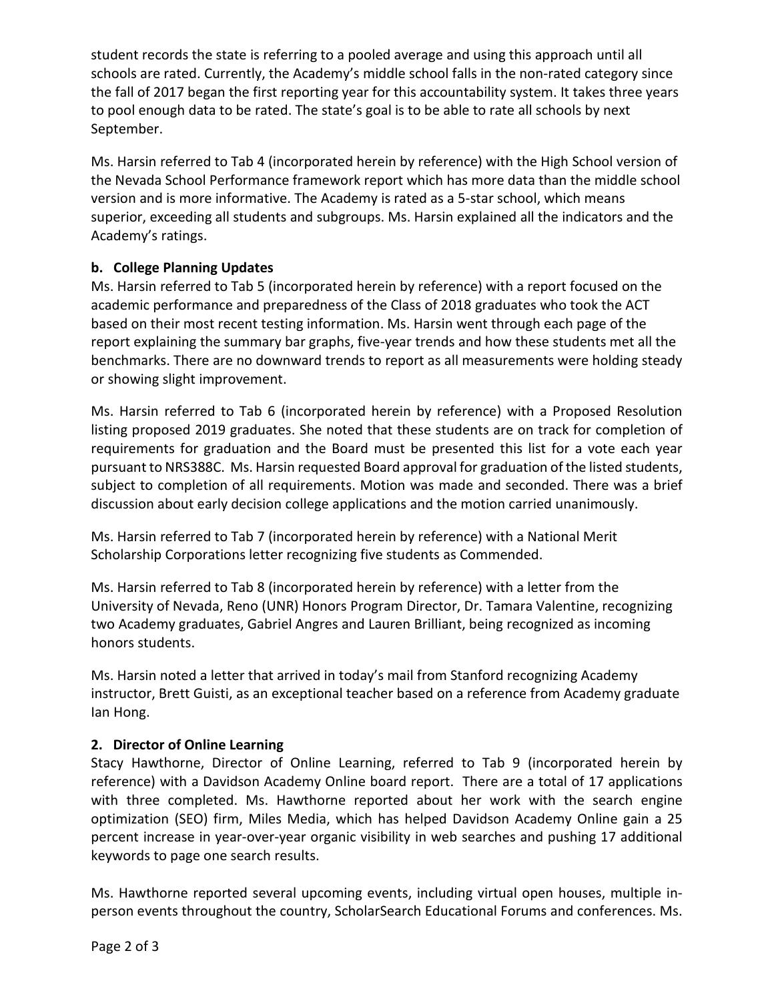student records the state is referring to a pooled average and using this approach until all schools are rated. Currently, the Academy's middle school falls in the non-rated category since the fall of 2017 began the first reporting year for this accountability system. It takes three years to pool enough data to be rated. The state's goal is to be able to rate all schools by next September.

Ms. Harsin referred to Tab 4 (incorporated herein by reference) with the High School version of the Nevada School Performance framework report which has more data than the middle school version and is more informative. The Academy is rated as a 5-star school, which means superior, exceeding all students and subgroups. Ms. Harsin explained all the indicators and the Academy's ratings.

# **b. College Planning Updates**

Ms. Harsin referred to Tab 5 (incorporated herein by reference) with a report focused on the academic performance and preparedness of the Class of 2018 graduates who took the ACT based on their most recent testing information. Ms. Harsin went through each page of the report explaining the summary bar graphs, five-year trends and how these students met all the benchmarks. There are no downward trends to report as all measurements were holding steady or showing slight improvement.

Ms. Harsin referred to Tab 6 (incorporated herein by reference) with a Proposed Resolution listing proposed 2019 graduates. She noted that these students are on track for completion of requirements for graduation and the Board must be presented this list for a vote each year pursuant to NRS388C. Ms. Harsin requested Board approval for graduation of the listed students, subject to completion of all requirements. Motion was made and seconded. There was a brief discussion about early decision college applications and the motion carried unanimously.

Ms. Harsin referred to Tab 7 (incorporated herein by reference) with a National Merit Scholarship Corporations letter recognizing five students as Commended.

Ms. Harsin referred to Tab 8 (incorporated herein by reference) with a letter from the University of Nevada, Reno (UNR) Honors Program Director, Dr. Tamara Valentine, recognizing two Academy graduates, Gabriel Angres and Lauren Brilliant, being recognized as incoming honors students.

Ms. Harsin noted a letter that arrived in today's mail from Stanford recognizing Academy instructor, Brett Guisti, as an exceptional teacher based on a reference from Academy graduate Ian Hong.

## **2. Director of Online Learning**

Stacy Hawthorne, Director of Online Learning, referred to Tab 9 (incorporated herein by reference) with a Davidson Academy Online board report. There are a total of 17 applications with three completed. Ms. Hawthorne reported about her work with the search engine optimization (SEO) firm, Miles Media, which has helped Davidson Academy Online gain a 25 percent increase in year-over-year organic visibility in web searches and pushing 17 additional keywords to page one search results.

Ms. Hawthorne reported several upcoming events, including virtual open houses, multiple inperson events throughout the country, ScholarSearch Educational Forums and conferences. Ms.